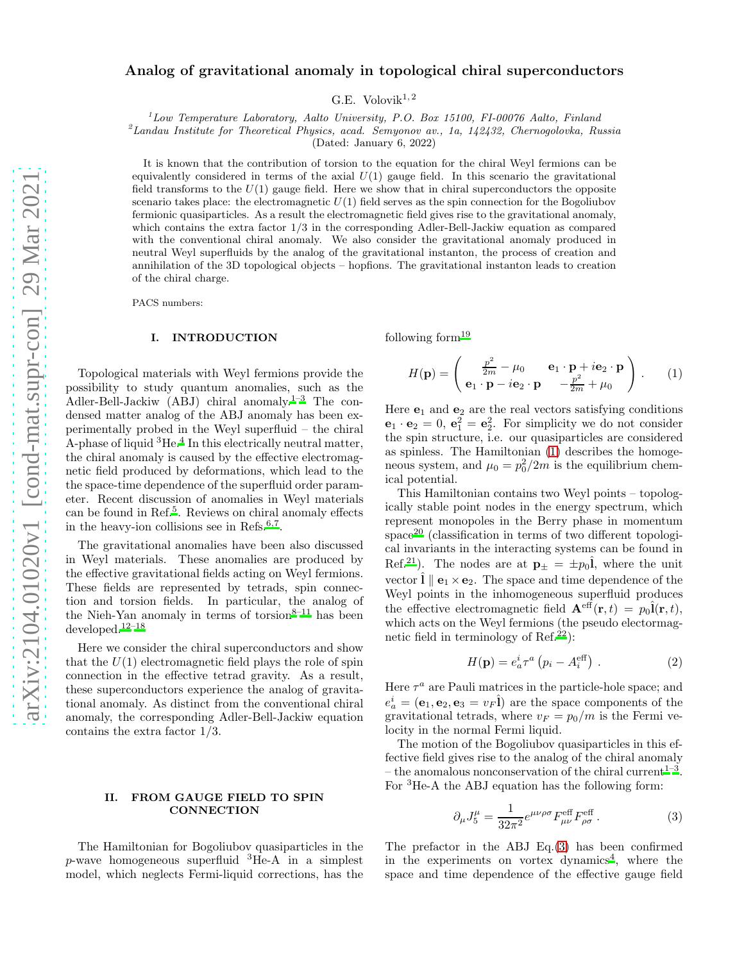# Analog of gravitational anomaly in topological chiral superconductors

G.E. Volovik $^{1,2}$ 

 $1$ Low Temperature Laboratory, Aalto University, P.O. Box 15100, FI-00076 Aalto, Finland

 ${}^{2}$ Landau Institute for Theoretical Physics, acad. Semyonov av., 1a, 142432, Chernogolovka, Russia

(Dated: January 6, 2022)

It is known that the contribution of torsion to the equation for the chiral Weyl fermions can be equivalently considered in terms of the axial  $U(1)$  gauge field. In this scenario the gravitational field transforms to the  $U(1)$  gauge field. Here we show that in chiral superconductors the opposite scenario takes place: the electromagnetic  $U(1)$  field serves as the spin connection for the Bogoliubov fermionic quasiparticles. As a result the electromagnetic field gives rise to the gravitational anomaly, which contains the extra factor 1/3 in the corresponding Adler-Bell-Jackiw equation as compared with the conventional chiral anomaly. We also consider the gravitational anomaly produced in neutral Weyl superfluids by the analog of the gravitational instanton, the process of creation and annihilation of the 3D topological objects – hopfions. The gravitational instanton leads to creation of the chiral charge.

PACS numbers:

# I. INTRODUCTION

Topological materials with Weyl fermions provide the possibility to study quantum anomalies, such as the Adler-Bell-Jackiw (ABJ) chiral anomaly.<sup>[1](#page-3-0)[–3](#page-3-1)</sup> The condensed matter analog of the ABJ anomaly has been experimentally probed in the Weyl superfluid – the chiral A-phase of liquid <sup>3</sup>He[.](#page-3-2)<sup>4</sup> In this electrically neutral matter, the chiral anomaly is caused by the effective electromagnetic field produced by deformations, which lead to the the space-time dependence of the superfluid order parameter. Recent discussion of anomalies in Weyl materials can be found in Ref.<sup>[5](#page-3-3)</sup>. Reviews on chiral anomaly effects in the heavy-ion collisions see in Refs. $6,7$  $6,7$ .

The gravitational anomalies have been also discussed in Weyl materials. These anomalies are produced by the effective gravitational fields acting on Weyl fermions. These fields are represented by tetrads, spin connection and torsion fields. In particular, the analog of the Nieh-Yan anomaly in terms of torsion $8-11$  $8-11$  has been  $\rm developed.^{\rm 12-18}$  $\rm developed.^{\rm 12-18}$  $\rm developed.^{\rm 12-18}$ 

Here we consider the chiral superconductors and show that the  $U(1)$  electromagnetic field plays the role of spin connection in the effective tetrad gravity. As a result, these superconductors experience the analog of gravitational anomaly. As distinct from the conventional chiral anomaly, the corresponding Adler-Bell-Jackiw equation contains the extra factor 1/3.

#### II. FROM GAUGE FIELD TO SPIN **CONNECTION**

The Hamiltonian for Bogoliubov quasiparticles in the  $p$ -wave homogeneous superfluid  ${}^{3}$ He-A in a simplest model, which neglects Fermi-liquid corrections, has the following for[m](#page-3-10) $19$ 

<span id="page-0-0"></span>
$$
H(\mathbf{p}) = \begin{pmatrix} \frac{p^2}{2m} - \mu_0 & \mathbf{e}_1 \cdot \mathbf{p} + i\mathbf{e}_2 \cdot \mathbf{p} \\ \mathbf{e}_1 \cdot \mathbf{p} - i\mathbf{e}_2 \cdot \mathbf{p} & -\frac{p^2}{2m} + \mu_0 \end{pmatrix} .
$$
 (1)

Here  $e_1$  and  $e_2$  are the real vectors satisfying conditions  $\mathbf{e}_1 \cdot \mathbf{e}_2 = 0$ ,  $\mathbf{e}_1^2 = \mathbf{e}_2^2$ . For simplicity we do not consider the spin structure, i.e. our quasiparticles are considered as spinless. The Hamiltonian [\(1\)](#page-0-0) describes the homogeneous system, and  $\mu_0 = p_0^2/2m$  is the equilibrium chemical potential.

This Hamiltonian contains two Weyl points – topologically stable point nodes in the energy spectrum, which represent monopoles in the Berry phase in momentum  $space^{20}$  $space^{20}$  $space^{20}$  (classification in terms of two different topological invariants in the interacting systems can be found in Ref.<sup>[21](#page-3-12)</sup>). The nodes are at  $\mathbf{p}_{\pm} = \pm p_0 \hat{\mathbf{l}}$ , where the unit vector  $\hat{\mathbf{l}} \parallel \mathbf{e}_1 \times \mathbf{e}_2$ . The space and time dependence of the Weyl points in the inhomogeneous superfluid produces the effective electromagnetic field  $\mathbf{A}^{\text{eff}}(\mathbf{r},t) = p_0 \hat{\mathbf{l}}(\mathbf{r},t),$ which acts on the Weyl fermions (the pseudo electormagnetic field in terminology of  $\text{Ref.}^{22}$  $\text{Ref.}^{22}$  $\text{Ref.}^{22}$ :

$$
H(\mathbf{p}) = e_a^i \tau^a \left( p_i - A_i^{\text{eff}} \right) . \tag{2}
$$

Here  $\tau^a$  are Pauli matrices in the particle-hole space; and  $e_a^i = (\mathbf{e}_1, \mathbf{e}_2, \mathbf{e}_3 = v_F \hat{\mathbf{l}})$  are the space components of the gravitational tetrads, where  $v_F = p_0/m$  is the Fermi velocity in the normal Fermi liquid.

The motion of the Bogoliubov quasiparticles in this effective field gives rise to the analog of the chiral anomaly – the anomalous nonconservation of the chiral current<sup>[1](#page-3-0)[–3](#page-3-1)</sup>. For <sup>3</sup>He-A the ABJ equation has the following form:

<span id="page-0-1"></span>
$$
\partial_{\mu}J_{5}^{\mu} = \frac{1}{32\pi^{2}}e^{\mu\nu\rho\sigma}F_{\mu\nu}^{\text{eff}}F_{\rho\sigma}^{\text{eff}}.
$$
 (3)

The prefactor in the ABJ Eq.[\(3\)](#page-0-1) has been confirmed in the experiments on vortex dynamics<sup>[4](#page-3-2)</sup>, where the space and time dependence of the effective gauge field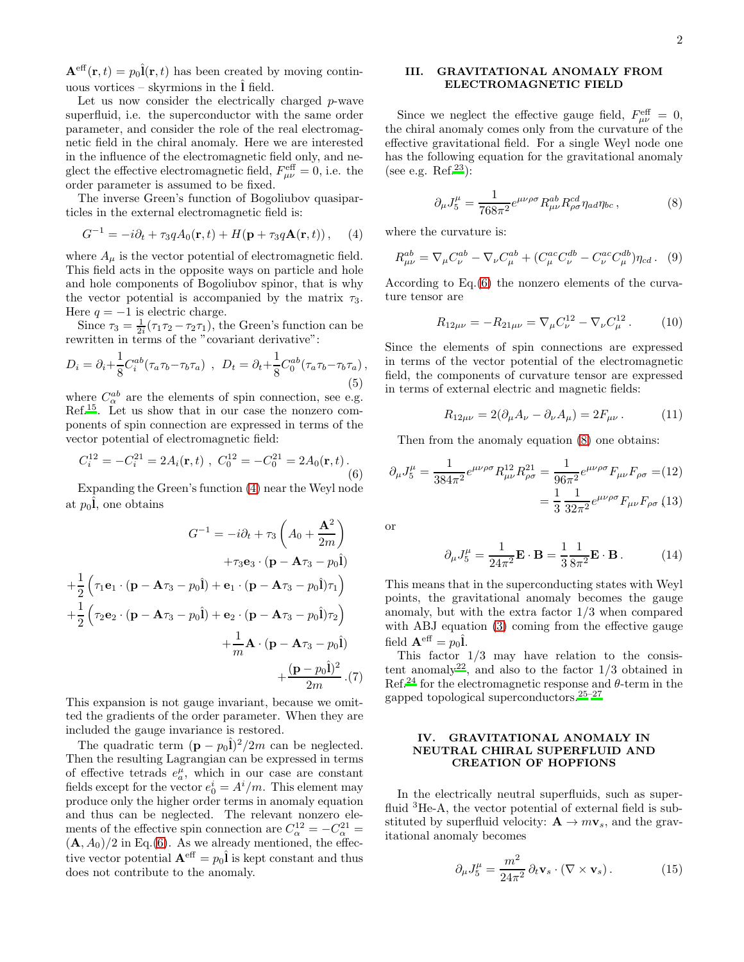$\mathbf{A}^{\text{eff}}(\mathbf{r},t) = p_0 \hat{\mathbf{l}}(\mathbf{r},t)$  has been created by moving continuous vortices – skyrmions in the  $\hat{\mathbf{l}}$  field.

Let us now consider the electrically charged  $p$ -wave superfluid, i.e. the superconductor with the same order parameter, and consider the role of the real electromagnetic field in the chiral anomaly. Here we are interested in the influence of the electromagnetic field only, and neglect the effective electromagnetic field,  $F_{\mu\nu}^{\text{eff}} = 0$ , i.e. the order parameter is assumed to be fixed.

The inverse Green's function of Bogoliubov quasiparticles in the external electromagnetic field is:

<span id="page-1-0"></span>
$$
G^{-1} = -i\partial_t + \tau_3 q A_0(\mathbf{r}, t) + H(\mathbf{p} + \tau_3 q \mathbf{A}(\mathbf{r}, t)), \quad (4)
$$

where  $A_{\mu}$  is the vector potential of electromagnetic field. This field acts in the opposite ways on particle and hole and hole components of Bogoliubov spinor, that is why the vector potential is accompanied by the matrix  $\tau_3$ . Here  $q = -1$  is electric charge.

Since  $\tau_3 = \frac{1}{2i}(\tau_1 \tau_2 - \tau_2 \tau_1)$ , the Green's function can be rewritten in terms of the "covariant derivative":

$$
D_i = \partial_i + \frac{1}{8} C_i^{ab} (\tau_a \tau_b - \tau_b \tau_a) , \quad D_t = \partial_t + \frac{1}{8} C_0^{ab} (\tau_a \tau_b - \tau_b \tau_a) , \tag{5}
$$

where  $C_{\alpha}^{ab}$  are the elements of spin connection, see e.g. Ref.[15](#page-3-14). Let us show that in our case the nonzero components of spin connection are expressed in terms of the vector potential of electromagnetic field:

<span id="page-1-1"></span>
$$
C_i^{12} = -C_i^{21} = 2A_i(\mathbf{r}, t) , C_0^{12} = -C_0^{21} = 2A_0(\mathbf{r}, t).
$$
\n(6)

Expanding the Green's function [\(4\)](#page-1-0) near the Weyl node at  $p_0\hat{\mathbf{l}}$ , one obtains

$$
G^{-1} = -i\partial_t + \tau_3 \left( A_0 + \frac{\mathbf{A}^2}{2m} \right)
$$
  
+
$$
\tau_3 \mathbf{e}_3 \cdot (\mathbf{p} - \mathbf{A}\tau_3 - p_0 \hat{\mathbf{l}})
$$
  
+
$$
\frac{1}{2} \left( \tau_1 \mathbf{e}_1 \cdot (\mathbf{p} - \mathbf{A}\tau_3 - p_0 \hat{\mathbf{l}}) + \mathbf{e}_1 \cdot (\mathbf{p} - \mathbf{A}\tau_3 - p_0 \hat{\mathbf{l}}) \tau_1 \right)
$$
  
+
$$
\frac{1}{2} \left( \tau_2 \mathbf{e}_2 \cdot (\mathbf{p} - \mathbf{A}\tau_3 - p_0 \hat{\mathbf{l}}) + \mathbf{e}_2 \cdot (\mathbf{p} - \mathbf{A}\tau_3 - p_0 \hat{\mathbf{l}}) \tau_2 \right)
$$
  
+
$$
\frac{1}{m} \mathbf{A} \cdot (\mathbf{p} - \mathbf{A}\tau_3 - p_0 \hat{\mathbf{l}})
$$
  
+
$$
\frac{(\mathbf{p} - p_0 \hat{\mathbf{l}})^2}{2m} \cdot (7)
$$

This expansion is not gauge invariant, because we omitted the gradients of the order parameter. When they are included the gauge invariance is restored.

The quadratic term  $(p - p_0 \hat{\mathbf{l}})^2 / 2m$  can be neglected. Then the resulting Lagrangian can be expressed in terms of effective tetrads  $e_a^{\mu}$ , which in our case are constant fields except for the vector  $e_0^i = A^i/m$ . This element may produce only the higher order terms in anomaly equation and thus can be neglected. The relevant nonzero elements of the effective spin connection are  $C_{\alpha}^{12} = -C_{\alpha}^{21} =$  $(\mathbf{A}, A_0)/2$  in Eq.[\(6\)](#page-1-1). As we already mentioned, the effective vector potential  ${\bf A}^{\text{eff}}=p_0\hat{\bf l}$  is kept constant and thus does not contribute to the anomaly.

# III. GRAVITATIONAL ANOMALY FROM ELECTROMAGNETIC FIELD

Since we neglect the effective gauge field,  $F^{\text{eff}}_{\mu\nu} = 0$ , the chiral anomaly comes only from the curvature of the effective gravitational field. For a single Weyl node one has the following equation for the gravitational anomaly (see e.g. Ref.<sup>[23](#page-3-15)</sup>):

<span id="page-1-2"></span>
$$
\partial_{\mu}J_{5}^{\mu} = \frac{1}{768\pi^{2}}e^{\mu\nu\rho\sigma}R_{\mu\nu}^{ab}R_{\rho\sigma}^{cd}\eta_{ad}\eta_{bc},\qquad(8)
$$

where the curvature is:

$$
R_{\mu\nu}^{ab} = \nabla_{\mu} C_{\nu}^{ab} - \nabla_{\nu} C_{\mu}^{ab} + (C_{\mu}^{ac} C_{\nu}^{db} - C_{\nu}^{ac} C_{\mu}^{db}) \eta_{cd}.
$$
 (9)

According to Eq.[\(6\)](#page-1-1) the nonzero elements of the curvature tensor are

$$
R_{12\mu\nu} = -R_{21\mu\nu} = \nabla_{\mu} C_{\nu}^{12} - \nabla_{\nu} C_{\mu}^{12} . \qquad (10)
$$

Since the elements of spin connections are expressed in terms of the vector potential of the electromagnetic field, the components of curvature tensor are expressed in terms of external electric and magnetic fields:

$$
R_{12\mu\nu} = 2(\partial_{\mu}A_{\nu} - \partial_{\nu}A_{\mu}) = 2F_{\mu\nu}.
$$
 (11)

Then from the anomaly equation [\(8\)](#page-1-2) one obtains:

$$
\partial_{\mu}J_{5}^{\mu} = \frac{1}{384\pi^{2}} e^{\mu\nu\rho\sigma} R_{\mu\nu}^{12} R_{\rho\sigma}^{21} = \frac{1}{96\pi^{2}} e^{\mu\nu\rho\sigma} F_{\mu\nu} F_{\rho\sigma} = (12)
$$

$$
= \frac{1}{3} \frac{1}{32\pi^{2}} e^{\mu\nu\rho\sigma} F_{\mu\nu} F_{\rho\sigma} (13)
$$

or

$$
\partial_{\mu}J_{5}^{\mu} = \frac{1}{24\pi^{2}} \mathbf{E} \cdot \mathbf{B} = \frac{1}{3} \frac{1}{8\pi^{2}} \mathbf{E} \cdot \mathbf{B}. \quad (14)
$$

This means that in the superconducting states with Weyl points, the gravitational anomaly becomes the gauge anomaly, but with the extra factor 1/3 when compared with ABJ equation [\(3\)](#page-0-1) coming from the effective gauge field  ${\bf A}^{\text{eff}}=p_0\hat{\bf l}$ .

This factor  $1/3$  may have relation to the consis-tent anomaly<sup>[22](#page-3-13)</sup>, and also to the factor  $1/3$  obtained in Ref.<sup>[24](#page-3-16)</sup> for the electromagnetic response and  $\theta$ -term in the gapped topological superconductors.[25](#page-3-17)[–27](#page-3-18)

# IV. GRAVITATIONAL ANOMALY IN NEUTRAL CHIRAL SUPERFLUID AND CREATION OF HOPFIONS

In the electrically neutral superfluids, such as superfluid <sup>3</sup>He-A, the vector potential of external field is substituted by superfluid velocity:  $\mathbf{A} \to m\mathbf{v}_s$ , and the gravitational anomaly becomes

<span id="page-1-3"></span>
$$
\partial_{\mu}J_{5}^{\mu} = \frac{m^{2}}{24\pi^{2}} \partial_{t} \mathbf{v}_{s} \cdot (\nabla \times \mathbf{v}_{s}). \tag{15}
$$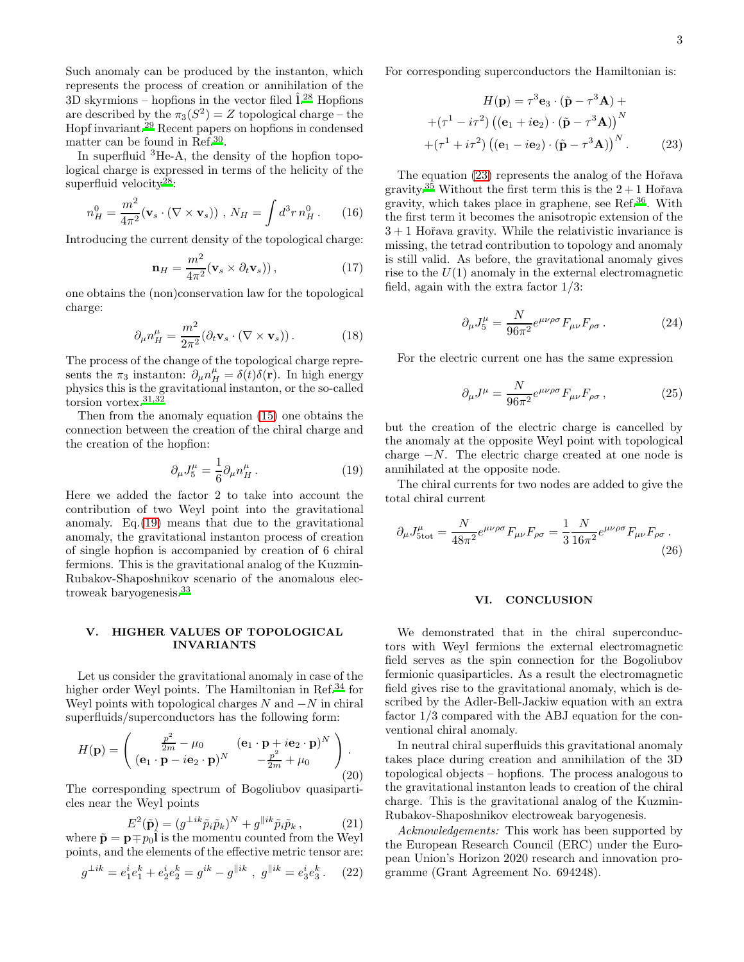Such anomaly can be produced by the instanton, which represents the process of creation or annihilation of the 3D skyrmions – hopfions in the vector filed  $\hat{1}^{28}$  $\hat{1}^{28}$  $\hat{1}^{28}$  Hopfions are described by the  $\pi_3(S^2) = Z$  topological charge – the Hopf invariant.[29](#page-3-20) Recent papers on hopfions in condensed matter can be found in Ref.<sup>[30](#page-3-21)</sup>.

In superfluid <sup>3</sup>He-A, the density of the hopfion topological charge is expressed in terms of the helicity of the superfluid velocity<sup>[28](#page-3-19)</sup>:

$$
n_H^0 = \frac{m^2}{4\pi^2} (\mathbf{v}_s \cdot (\nabla \times \mathbf{v}_s)) , N_H = \int d^3 r n_H^0 . \qquad (16)
$$

Introducing the current density of the topological charge:

$$
\mathbf{n}_H = \frac{m^2}{4\pi^2} (\mathbf{v}_s \times \partial_t \mathbf{v}_s)),
$$
 (17)

one obtains the (non)conservation law for the topological charge:

$$
\partial_{\mu} n_H^{\mu} = \frac{m^2}{2\pi^2} (\partial_t \mathbf{v}_s \cdot (\nabla \times \mathbf{v}_s)). \tag{18}
$$

The process of the change of the topological charge represents the  $\pi_3$  instanton:  $\partial_\mu n_H^{\mu} = \delta(t)\delta(\mathbf{r})$ . In high energy physics this is the gravitational instanton, or the so-called torsion vortex.[31](#page-3-22)[,32](#page-3-23)

Then from the anomaly equation [\(15\)](#page-1-3) one obtains the connection between the creation of the chiral charge and the creation of the hopfion:

<span id="page-2-0"></span>
$$
\partial_{\mu}J_{5}^{\mu} = \frac{1}{6}\partial_{\mu}n_{H}^{\mu}.
$$
 (19)

Here we added the factor 2 to take into account the contribution of two Weyl point into the gravitational anomaly. Eq.[\(19\)](#page-2-0) means that due to the gravitational anomaly, the gravitational instanton process of creation of single hopfion is accompanied by creation of 6 chiral fermions. This is the gravitational analog of the Kuzmin-Rubakov-Shaposhnikov scenario of the anomalous electroweak baryogenesis[.](#page-3-24)<sup>33</sup>

#### V. HIGHER VALUES OF TOPOLOGICAL INVARIANTS

Let us consider the gravitational anomaly in case of the higher order Weyl points. The Hamiltonian in Ref.<sup>[34](#page-3-25)</sup> for Weyl points with topological charges  $N$  and  $-N$  in chiral superfluids/superconductors has the following form:

$$
H(\mathbf{p}) = \begin{pmatrix} \frac{p^2}{2m} - \mu_0 & (\mathbf{e}_1 \cdot \mathbf{p} + i\mathbf{e}_2 \cdot \mathbf{p})^N \\ (\mathbf{e}_1 \cdot \mathbf{p} - i\mathbf{e}_2 \cdot \mathbf{p})^N & -\frac{p^2}{2m} + \mu_0 \end{pmatrix}.
$$
\n(20)

The corresponding spectrum of Bogoliubov quasiparticles near the Weyl points

$$
E^2(\tilde{\mathbf{p}}) = (g^{\perp ik}\tilde{p}_i\tilde{p}_k)^N + g^{\parallel ik}\tilde{p}_i\tilde{p}_k, \qquad (21)
$$

where  $\tilde{\mathbf{p}} = \mathbf{p} \mp p_0 \hat{\mathbf{l}}$  is the momentu counted from the Weyl points, and the elements of the effective metric tensor are:

$$
g^{\perp ik} = e_1^i e_1^k + e_2^i e_2^k = g^{ik} - g^{\parallel ik} , g^{\parallel ik} = e_3^i e_3^k . \tag{22}
$$

For corresponding superconductors the Hamiltonian is:

<span id="page-2-1"></span>
$$
H(\mathbf{p}) = \tau^3 \mathbf{e}_3 \cdot (\tilde{\mathbf{p}} - \tau^3 \mathbf{A}) +
$$

$$
+(\tau^1 - i\tau^2) ((\mathbf{e}_1 + i\mathbf{e}_2) \cdot (\tilde{\mathbf{p}} - \tau^3 \mathbf{A}))^N
$$

$$
+(\tau^1 + i\tau^2) ((\mathbf{e}_1 - i\mathbf{e}_2) \cdot (\tilde{\mathbf{p}} - \tau^3 \mathbf{A}))^N.
$$
(23)

The equation [\(23\)](#page-2-1) represents the analog of the Hořava gravity[.](#page-3-26)<sup>35</sup> Without the first term this is the  $2+1$  Hořava gravity, which takes place in graphene, see Ref.<sup>[36](#page-3-27)</sup>. With the first term it becomes the anisotropic extension of the  $3 + 1$  Hořava gravity. While the relativistic invariance is missing, the tetrad contribution to topology and anomaly is still valid. As before, the gravitational anomaly gives rise to the  $U(1)$  anomaly in the external electromagnetic field, again with the extra factor  $1/3$ :

$$
\partial_{\mu}J_{5}^{\mu} = \frac{N}{96\pi^{2}}e^{\mu\nu\rho\sigma}F_{\mu\nu}F_{\rho\sigma}.
$$
 (24)

For the electric current one has the same expression

$$
\partial_{\mu}J^{\mu} = \frac{N}{96\pi^2} e^{\mu\nu\rho\sigma} F_{\mu\nu} F_{\rho\sigma} , \qquad (25)
$$

but the creation of the electric charge is cancelled by the anomaly at the opposite Weyl point with topological charge  $-N$ . The electric charge created at one node is annihilated at the opposite node.

The chiral currents for two nodes are added to give the total chiral current

$$
\partial_{\mu}J_{5\text{tot}}^{\mu} = \frac{N}{48\pi^2} e^{\mu\nu\rho\sigma} F_{\mu\nu} F_{\rho\sigma} = \frac{1}{3} \frac{N}{16\pi^2} e^{\mu\nu\rho\sigma} F_{\mu\nu} F_{\rho\sigma} \,. \tag{26}
$$

#### VI. CONCLUSION

We demonstrated that in the chiral superconductors with Weyl fermions the external electromagnetic field serves as the spin connection for the Bogoliubov fermionic quasiparticles. As a result the electromagnetic field gives rise to the gravitational anomaly, which is described by the Adler-Bell-Jackiw equation with an extra factor 1/3 compared with the ABJ equation for the conventional chiral anomaly.

In neutral chiral superfluids this gravitational anomaly takes place during creation and annihilation of the 3D topological objects – hopfions. The process analogous to the gravitational instanton leads to creation of the chiral charge. This is the gravitational analog of the Kuzmin-Rubakov-Shaposhnikov electroweak baryogenesis.

Acknowledgements: This work has been supported by the European Research Council (ERC) under the European Union's Horizon 2020 research and innovation programme (Grant Agreement No. 694248).